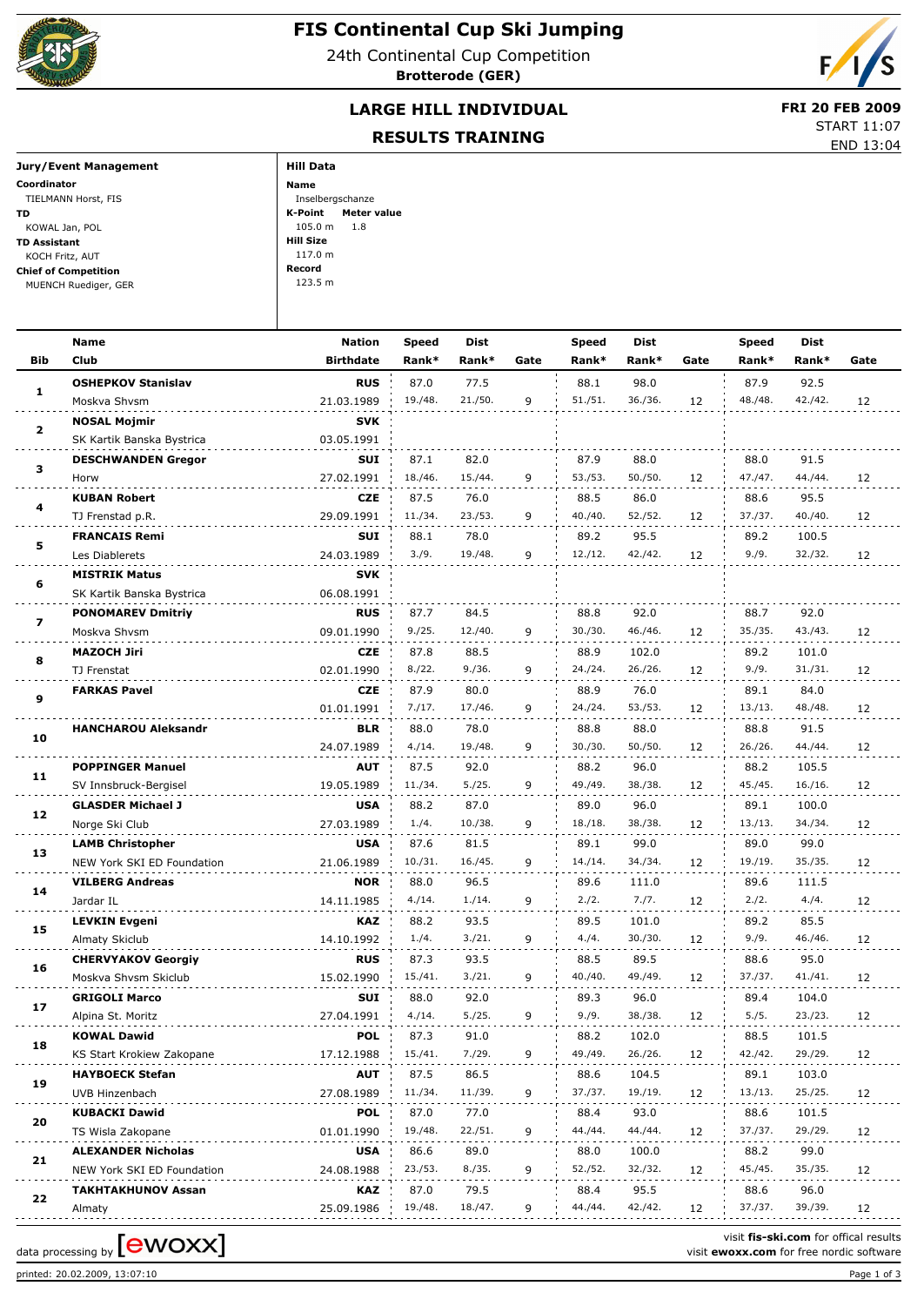

24th Continental Cup Competition **Brotterode (GER)**



## **LARGE HILL INDIVIDUAL** FRI 20 FEB 2009

## **RESULTS TRAINING**

START 11:07

|                             | RESULTS IRAINING       | END 13:04 |
|-----------------------------|------------------------|-----------|
| Jury/Event Management       | <b>Hill Data</b>       |           |
| Coordinator                 | Name                   |           |
| TIELMANN Horst, FIS         | Inselbergschanze       |           |
| TD.                         | K-Point<br>Meter value |           |
| KOWAL Jan, POL              | $105.0 m$ 1.8          |           |
| <b>TD Assistant</b>         | Hill Size              |           |
| KOCH Fritz, AUT             | 117.0 m                |           |
| <b>Chief of Competition</b> | Record                 |           |
| MUENCH Ruediger, GER        | 123.5 m                |           |
|                             |                        |           |

|                            | Name                              | <b>Nation</b>                                                                                                                                                                                                                                                                                                                                                                                                                                                                                                                                                                                                                                                                                                                                                                                                                                                                                                                                                                                                                                                                                                                                                                                                                                                                                                                                                                                            | <b>Speed</b> | Dist    |         | Speed   | <b>Dist</b>     |         | <b>Speed</b>                                                                      | Dist            |      |
|----------------------------|-----------------------------------|----------------------------------------------------------------------------------------------------------------------------------------------------------------------------------------------------------------------------------------------------------------------------------------------------------------------------------------------------------------------------------------------------------------------------------------------------------------------------------------------------------------------------------------------------------------------------------------------------------------------------------------------------------------------------------------------------------------------------------------------------------------------------------------------------------------------------------------------------------------------------------------------------------------------------------------------------------------------------------------------------------------------------------------------------------------------------------------------------------------------------------------------------------------------------------------------------------------------------------------------------------------------------------------------------------------------------------------------------------------------------------------------------------|--------------|---------|---------|---------|-----------------|---------|-----------------------------------------------------------------------------------|-----------------|------|
| Bib                        | <b>Club</b>                       | <b>Birthdate</b>                                                                                                                                                                                                                                                                                                                                                                                                                                                                                                                                                                                                                                                                                                                                                                                                                                                                                                                                                                                                                                                                                                                                                                                                                                                                                                                                                                                         | Rank*        | Rank*   | Gate    | Rank*   | Rank*           | Gate    | Rank*                                                                             | Rank*           | Gate |
|                            | <b>OSHEPKOV Stanislav</b>         | <b>RUS</b>                                                                                                                                                                                                                                                                                                                                                                                                                                                                                                                                                                                                                                                                                                                                                                                                                                                                                                                                                                                                                                                                                                                                                                                                                                                                                                                                                                                               | 87.0         | 77.5    |         | 88.1    | 98.0            |         | 87.9                                                                              | 92.5            |      |
| 1                          | Moskva Shvsm                      | 21.03.1989                                                                                                                                                                                                                                                                                                                                                                                                                                                                                                                                                                                                                                                                                                                                                                                                                                                                                                                                                                                                                                                                                                                                                                                                                                                                                                                                                                                               | 19./48.      | 21./50. | 9       | 51./51. | 36./36.         | 12      | 48./48.                                                                           | 42./42.         | 12   |
|                            | <b>NOSAL Mojmir</b>               | SVK<br>03.05.1991<br>SUI<br>87.1<br>82.0<br>18./46.<br>15./44.<br>9<br>27.02.1991<br><b>CZE</b><br>87.5<br>76.0<br>11./34.<br>23./53.<br>29.09.1991<br>9<br>SUI<br>78.0<br>88.1<br>3./9.<br>19./48.<br>9<br>24.03.1989<br>SVK<br>06.08.1991<br><b>RUS</b><br>87.7<br>84.5<br>88.8<br>30./30.<br>9./25.<br>12./40.<br>9<br>09.01.1990<br><b>CZE</b><br>87.8<br>88.5<br>02.01.1990<br>8./22.<br>9./36.<br>9<br><b>CZE</b><br>87.9<br>80.0<br>01.01.1991<br>7./17.<br>17./46.<br>9<br><b>BLR</b><br>78.0<br>88.0<br>24.07.1989<br>4./14.<br>19./48.<br>9<br>AUT<br>87.5<br>92.0<br>5./25.<br>9<br>19.05.1989<br>11./34.<br><b>USA</b><br>87.0<br>88.2<br>27.03.1989<br>1./4.<br>10./38.<br>9<br><b>USA</b><br>87.6<br>81.5<br>10./31.<br>16./45.<br>9<br>21.06.1989<br><b>NOR</b><br>88.0<br>96.5<br>14.11.1985<br>4./14.<br>1./14.<br>9<br>KAZ<br>93.5<br>88.2<br>3./21.<br>14.10.1992<br>1./4.<br>9<br><b>RUS</b><br>87.3<br>93.5<br>15.02.1990<br>15./41.<br>3./21.<br>9<br>SUI<br>88.0<br>92.0<br>89.3<br>27.04.1991<br>5./25.<br>9<br>9./9.<br>4./14.<br>87.3<br>88.2<br>POL<br>91.0<br>7./29.<br>49./49.<br>17.12.1988<br>15./41.<br>9<br>87.5<br>86.5<br>AUT<br>11./34.<br>11./39.<br>9<br>27.08.1989<br>POL<br>87.0<br>77.0<br>19./48.<br>22./51.<br>9<br>01.01.1990<br>USA<br>86.6<br>89.0<br>23./53.<br>8./35.<br>9<br>24.08.1988<br>KAZ<br>87.0<br>79.5<br>9<br>25.09.1986<br>19./48.<br>18./47. |              |         |         |         |                 |         |                                                                                   |                 |      |
| $\mathbf{2}$               | SK Kartik Banska Bystrica         |                                                                                                                                                                                                                                                                                                                                                                                                                                                                                                                                                                                                                                                                                                                                                                                                                                                                                                                                                                                                                                                                                                                                                                                                                                                                                                                                                                                                          |              |         |         |         |                 |         |                                                                                   |                 |      |
|                            | <b>DESCHWANDEN Gregor</b>         |                                                                                                                                                                                                                                                                                                                                                                                                                                                                                                                                                                                                                                                                                                                                                                                                                                                                                                                                                                                                                                                                                                                                                                                                                                                                                                                                                                                                          |              |         |         | 87.9    | 88.0            |         | 88.0                                                                              | 91.5            |      |
| 3                          | Horw                              |                                                                                                                                                                                                                                                                                                                                                                                                                                                                                                                                                                                                                                                                                                                                                                                                                                                                                                                                                                                                                                                                                                                                                                                                                                                                                                                                                                                                          |              |         |         | 53./53. | 50./50.         | 12      | 47./47.                                                                           | 44./44.         | 12   |
|                            | <b>KUBAN Robert</b>               |                                                                                                                                                                                                                                                                                                                                                                                                                                                                                                                                                                                                                                                                                                                                                                                                                                                                                                                                                                                                                                                                                                                                                                                                                                                                                                                                                                                                          |              |         |         | 88.5    | 86.0            |         | 88.6                                                                              | 95.5            |      |
| 4                          | TJ Frenstad p.R.                  |                                                                                                                                                                                                                                                                                                                                                                                                                                                                                                                                                                                                                                                                                                                                                                                                                                                                                                                                                                                                                                                                                                                                                                                                                                                                                                                                                                                                          |              |         |         | 40./40. | 52./52.         | 12      | 37./37.                                                                           | 40./40.         | 12   |
|                            | <b>FRANCAIS Remi</b>              |                                                                                                                                                                                                                                                                                                                                                                                                                                                                                                                                                                                                                                                                                                                                                                                                                                                                                                                                                                                                                                                                                                                                                                                                                                                                                                                                                                                                          |              |         |         | 89.2    | 95.5            |         | 89.2                                                                              | 100.5           |      |
| 5                          | Les Diablerets                    |                                                                                                                                                                                                                                                                                                                                                                                                                                                                                                                                                                                                                                                                                                                                                                                                                                                                                                                                                                                                                                                                                                                                                                                                                                                                                                                                                                                                          |              |         |         | 12./12. | 42./42.         | 12      | 9./9.                                                                             | 32./32.         | 12   |
|                            | <b>MISTRIK Matus</b>              |                                                                                                                                                                                                                                                                                                                                                                                                                                                                                                                                                                                                                                                                                                                                                                                                                                                                                                                                                                                                                                                                                                                                                                                                                                                                                                                                                                                                          |              |         |         |         |                 |         |                                                                                   |                 |      |
| 6                          | SK Kartik Banska Bystrica         |                                                                                                                                                                                                                                                                                                                                                                                                                                                                                                                                                                                                                                                                                                                                                                                                                                                                                                                                                                                                                                                                                                                                                                                                                                                                                                                                                                                                          |              |         |         |         |                 |         |                                                                                   |                 |      |
|                            |                                   |                                                                                                                                                                                                                                                                                                                                                                                                                                                                                                                                                                                                                                                                                                                                                                                                                                                                                                                                                                                                                                                                                                                                                                                                                                                                                                                                                                                                          |              |         |         |         |                 |         |                                                                                   |                 |      |
| 7                          | <b>PONOMAREV Dmitriy</b>          |                                                                                                                                                                                                                                                                                                                                                                                                                                                                                                                                                                                                                                                                                                                                                                                                                                                                                                                                                                                                                                                                                                                                                                                                                                                                                                                                                                                                          |              |         |         |         | 92.0<br>46./46. |         | 88.7<br>35./35.                                                                   | 92.0<br>43./43. |      |
|                            | Moskva Shvsm                      |                                                                                                                                                                                                                                                                                                                                                                                                                                                                                                                                                                                                                                                                                                                                                                                                                                                                                                                                                                                                                                                                                                                                                                                                                                                                                                                                                                                                          |              |         |         |         |                 | 12      |                                                                                   |                 | 12   |
| 8                          | <b>MAZOCH Jiri</b>                |                                                                                                                                                                                                                                                                                                                                                                                                                                                                                                                                                                                                                                                                                                                                                                                                                                                                                                                                                                                                                                                                                                                                                                                                                                                                                                                                                                                                          |              |         |         | 88.9    | 102.0           |         | 89.2                                                                              | 101.0           |      |
|                            | TJ Frenstat                       |                                                                                                                                                                                                                                                                                                                                                                                                                                                                                                                                                                                                                                                                                                                                                                                                                                                                                                                                                                                                                                                                                                                                                                                                                                                                                                                                                                                                          |              |         |         | 24./24. | 26./26.         | 12      | 9./9.                                                                             | 31./31.         | 12   |
| <b>FARKAS Pavel</b><br>9   |                                   |                                                                                                                                                                                                                                                                                                                                                                                                                                                                                                                                                                                                                                                                                                                                                                                                                                                                                                                                                                                                                                                                                                                                                                                                                                                                                                                                                                                                          |              |         |         | 88.9    | 76.0            |         | 89.1                                                                              | 84.0            |      |
| <b>HANCHAROU Aleksandr</b> |                                   |                                                                                                                                                                                                                                                                                                                                                                                                                                                                                                                                                                                                                                                                                                                                                                                                                                                                                                                                                                                                                                                                                                                                                                                                                                                                                                                                                                                                          |              |         | 24./24. | 53./53. | 12              | 13./13. | 48./48.                                                                           | 12              |      |
| 10                         |                                   |                                                                                                                                                                                                                                                                                                                                                                                                                                                                                                                                                                                                                                                                                                                                                                                                                                                                                                                                                                                                                                                                                                                                                                                                                                                                                                                                                                                                          |              |         |         | 88.8    | 88.0            |         | 88.8                                                                              | 91.5            |      |
|                            |                                   |                                                                                                                                                                                                                                                                                                                                                                                                                                                                                                                                                                                                                                                                                                                                                                                                                                                                                                                                                                                                                                                                                                                                                                                                                                                                                                                                                                                                          |              |         |         | 30./30. | 50./50.         | 12      | 26./26.                                                                           | 44./44.         | 12   |
| 11                         | <b>POPPINGER Manuel</b>           |                                                                                                                                                                                                                                                                                                                                                                                                                                                                                                                                                                                                                                                                                                                                                                                                                                                                                                                                                                                                                                                                                                                                                                                                                                                                                                                                                                                                          |              |         |         | 88.2    | 96.0            |         | 88.2                                                                              | 105.5           |      |
|                            | SV Innsbruck-Bergisel             |                                                                                                                                                                                                                                                                                                                                                                                                                                                                                                                                                                                                                                                                                                                                                                                                                                                                                                                                                                                                                                                                                                                                                                                                                                                                                                                                                                                                          |              |         |         | 49./49. | 38./38.         | 12      | 45./45.                                                                           | 16./16.         | 12   |
| 12                         | <b>GLASDER Michael J</b>          |                                                                                                                                                                                                                                                                                                                                                                                                                                                                                                                                                                                                                                                                                                                                                                                                                                                                                                                                                                                                                                                                                                                                                                                                                                                                                                                                                                                                          |              |         |         | 89.0    | 96.0            |         | 89.1                                                                              | 100.0           |      |
|                            | Norge Ski Club                    |                                                                                                                                                                                                                                                                                                                                                                                                                                                                                                                                                                                                                                                                                                                                                                                                                                                                                                                                                                                                                                                                                                                                                                                                                                                                                                                                                                                                          |              |         |         | 18./18. | 38./38.         | 12      | 13./13.                                                                           | 34./34.         | 12   |
|                            | <b>LAMB Christopher</b>           |                                                                                                                                                                                                                                                                                                                                                                                                                                                                                                                                                                                                                                                                                                                                                                                                                                                                                                                                                                                                                                                                                                                                                                                                                                                                                                                                                                                                          |              |         |         | 89.1    | 99.0            |         | 89.0                                                                              | 99.0            |      |
| 13                         | NEW York SKI ED Foundation        |                                                                                                                                                                                                                                                                                                                                                                                                                                                                                                                                                                                                                                                                                                                                                                                                                                                                                                                                                                                                                                                                                                                                                                                                                                                                                                                                                                                                          |              |         |         | 14./14. | 34./34.         | 12      | 19./19.                                                                           | 35./35.         | 12   |
|                            | <b>VILBERG Andreas</b>            |                                                                                                                                                                                                                                                                                                                                                                                                                                                                                                                                                                                                                                                                                                                                                                                                                                                                                                                                                                                                                                                                                                                                                                                                                                                                                                                                                                                                          |              |         |         | 89.6    | 111.0           |         | 89.6                                                                              | 111.5           |      |
| 14                         | Jardar IL                         |                                                                                                                                                                                                                                                                                                                                                                                                                                                                                                                                                                                                                                                                                                                                                                                                                                                                                                                                                                                                                                                                                                                                                                                                                                                                                                                                                                                                          |              |         |         | 2./2.   | 7./7.           | 12      | 2./2.                                                                             | 4./4.           | 12   |
|                            | <b>LEVKIN Evgeni</b>              |                                                                                                                                                                                                                                                                                                                                                                                                                                                                                                                                                                                                                                                                                                                                                                                                                                                                                                                                                                                                                                                                                                                                                                                                                                                                                                                                                                                                          |              |         |         | 89.5    | 101.0           |         | 89.2                                                                              | 85.5            |      |
| 15                         | Almaty Skiclub                    |                                                                                                                                                                                                                                                                                                                                                                                                                                                                                                                                                                                                                                                                                                                                                                                                                                                                                                                                                                                                                                                                                                                                                                                                                                                                                                                                                                                                          |              |         |         | 4./4.   | 30./30.         | 12      | 9./9.                                                                             | 46./46.         | 12   |
|                            | <b>CHERVYAKOV Georgiy</b>         |                                                                                                                                                                                                                                                                                                                                                                                                                                                                                                                                                                                                                                                                                                                                                                                                                                                                                                                                                                                                                                                                                                                                                                                                                                                                                                                                                                                                          |              |         |         | 88.5    | 89.5            |         | 88.6                                                                              | 95.0            |      |
| 16                         | Moskva Shvsm Skiclub              |                                                                                                                                                                                                                                                                                                                                                                                                                                                                                                                                                                                                                                                                                                                                                                                                                                                                                                                                                                                                                                                                                                                                                                                                                                                                                                                                                                                                          |              |         |         | 40./40. | 49./49.         | 12      | 37./37.                                                                           | 41./41.         | 12   |
|                            | <b>GRIGOLI Marco</b>              |                                                                                                                                                                                                                                                                                                                                                                                                                                                                                                                                                                                                                                                                                                                                                                                                                                                                                                                                                                                                                                                                                                                                                                                                                                                                                                                                                                                                          |              |         |         |         | 96.0            |         | 89.4                                                                              | 104.0           |      |
| 17                         | Alpina St. Moritz                 |                                                                                                                                                                                                                                                                                                                                                                                                                                                                                                                                                                                                                                                                                                                                                                                                                                                                                                                                                                                                                                                                                                                                                                                                                                                                                                                                                                                                          |              |         |         |         | 38./38.         | 12      | 5./5.                                                                             | 23./23.         | 12   |
|                            |                                   |                                                                                                                                                                                                                                                                                                                                                                                                                                                                                                                                                                                                                                                                                                                                                                                                                                                                                                                                                                                                                                                                                                                                                                                                                                                                                                                                                                                                          |              |         |         |         |                 |         |                                                                                   |                 |      |
| 18                         | <b>KOWAL Dawid</b>                |                                                                                                                                                                                                                                                                                                                                                                                                                                                                                                                                                                                                                                                                                                                                                                                                                                                                                                                                                                                                                                                                                                                                                                                                                                                                                                                                                                                                          |              |         |         |         | 102.0           |         | 88.5                                                                              | 101.5           |      |
|                            | KS Start Krokiew Zakopane         |                                                                                                                                                                                                                                                                                                                                                                                                                                                                                                                                                                                                                                                                                                                                                                                                                                                                                                                                                                                                                                                                                                                                                                                                                                                                                                                                                                                                          |              |         |         |         | 26./26.         | 12      | 42./42.                                                                           | 29./29.         | 12   |
| 19                         | <b>HAYBOECK Stefan</b>            |                                                                                                                                                                                                                                                                                                                                                                                                                                                                                                                                                                                                                                                                                                                                                                                                                                                                                                                                                                                                                                                                                                                                                                                                                                                                                                                                                                                                          |              |         |         | 88.6    | 104.5           |         | 89.1                                                                              | 103.0           |      |
|                            | UVB Hinzenbach                    |                                                                                                                                                                                                                                                                                                                                                                                                                                                                                                                                                                                                                                                                                                                                                                                                                                                                                                                                                                                                                                                                                                                                                                                                                                                                                                                                                                                                          |              |         |         | 37./37. | 19./19.         | 12      | 13./13.                                                                           | 25./25.         | 12   |
| 20                         | <b>KUBACKI Dawid</b>              |                                                                                                                                                                                                                                                                                                                                                                                                                                                                                                                                                                                                                                                                                                                                                                                                                                                                                                                                                                                                                                                                                                                                                                                                                                                                                                                                                                                                          |              |         |         | 88.4    | 93.0            |         | 88.6                                                                              | 101.5           |      |
|                            | TS Wisla Zakopane                 |                                                                                                                                                                                                                                                                                                                                                                                                                                                                                                                                                                                                                                                                                                                                                                                                                                                                                                                                                                                                                                                                                                                                                                                                                                                                                                                                                                                                          |              |         |         | 44./44. | 44./44.         | 12      | 37./37.                                                                           | 29./29.         | 12   |
| 21                         | <b>ALEXANDER Nicholas</b>         |                                                                                                                                                                                                                                                                                                                                                                                                                                                                                                                                                                                                                                                                                                                                                                                                                                                                                                                                                                                                                                                                                                                                                                                                                                                                                                                                                                                                          |              |         |         | 88.0    | 100.0           |         | 88.2                                                                              | 99.0            |      |
|                            | NEW York SKI ED Foundation        |                                                                                                                                                                                                                                                                                                                                                                                                                                                                                                                                                                                                                                                                                                                                                                                                                                                                                                                                                                                                                                                                                                                                                                                                                                                                                                                                                                                                          |              |         |         | 52./52. | 32./32.         | 12      | 45./45.                                                                           | 35./35.         | 12   |
|                            | <b>TAKHTAKHUNOV Assan</b>         |                                                                                                                                                                                                                                                                                                                                                                                                                                                                                                                                                                                                                                                                                                                                                                                                                                                                                                                                                                                                                                                                                                                                                                                                                                                                                                                                                                                                          |              |         |         | 88.4    | 95.5            |         | 88.6                                                                              | 96.0            |      |
|                            | Almaty                            |                                                                                                                                                                                                                                                                                                                                                                                                                                                                                                                                                                                                                                                                                                                                                                                                                                                                                                                                                                                                                                                                                                                                                                                                                                                                                                                                                                                                          |              |         |         | 44./44. | 42./42.         | 12      | 37./37.                                                                           | 39./39.         | 12   |
| 22                         | data processing by <b>[CWOXX]</b> |                                                                                                                                                                                                                                                                                                                                                                                                                                                                                                                                                                                                                                                                                                                                                                                                                                                                                                                                                                                                                                                                                                                                                                                                                                                                                                                                                                                                          |              |         |         |         |                 |         | visit fis-ski.com for offical results<br>visit ewoxx.com for free nordic software |                 |      |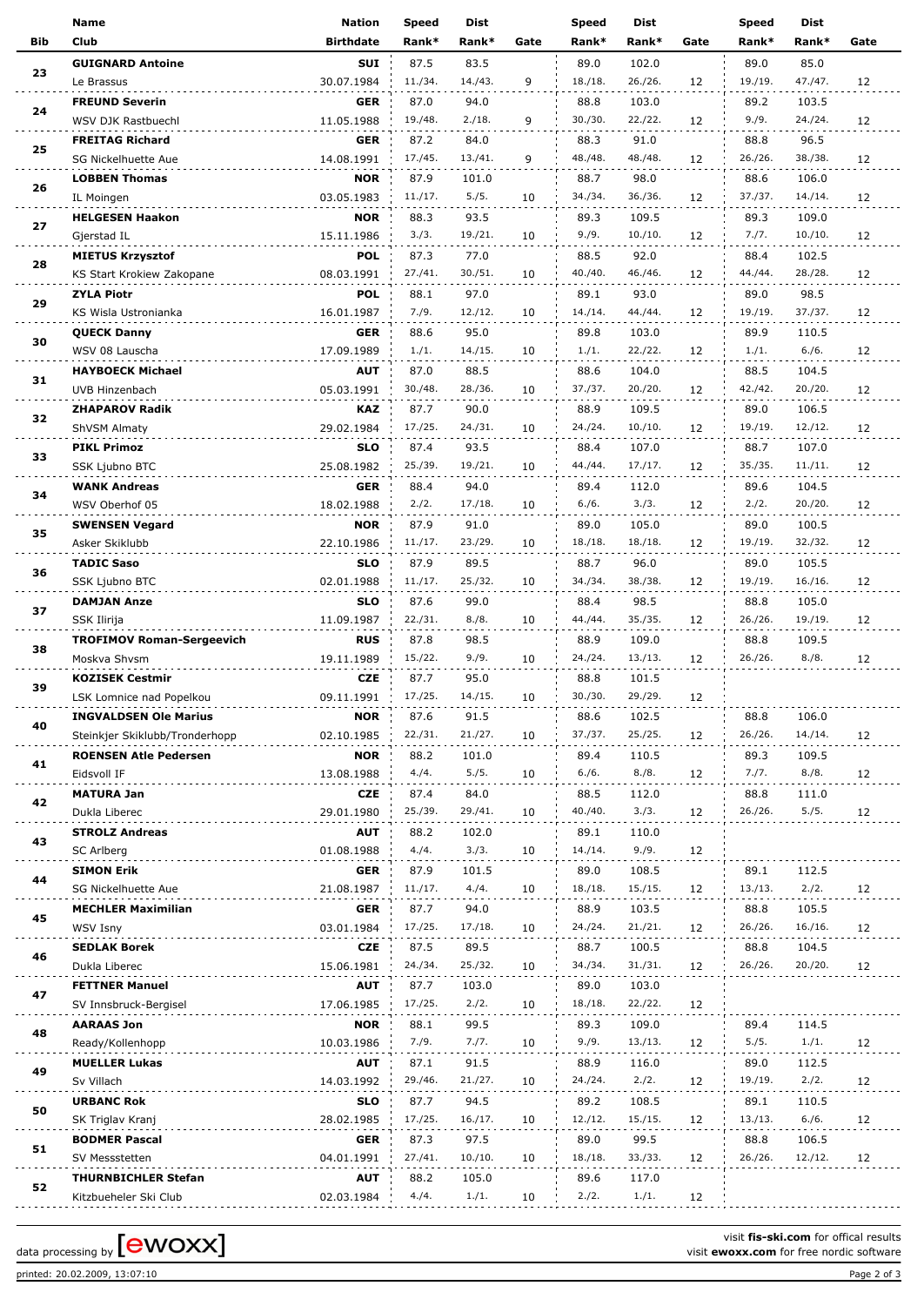|            | <b>Name</b>                      | <b>Nation</b>    | <b>Speed</b>    | Dist            |      | <b>Speed</b>    | Dist             |      | <b>Speed</b>    | <b>Dist</b>     |      |
|------------|----------------------------------|------------------|-----------------|-----------------|------|-----------------|------------------|------|-----------------|-----------------|------|
| <b>Bib</b> | Club                             | <b>Birthdate</b> | Rank*           | Rank*           | Gate | Rank*           | Rank*            | Gate | Rank*           | Rank*           | Gate |
|            | <b>GUIGNARD Antoine</b>          | <b>SUI</b>       | 87.5            | 83.5            |      | 89.0            | 102.0            |      | 89.0            | 85.0            |      |
| 23         | Le Brassus                       | 30.07.1984       | 11./34.         | 14./43.         | 9    | 18./18.         | 26./26.          | 12   | 19./19.         | 47./47.         | 12   |
|            | <b>FREUND Severin</b>            | <b>GER</b>       | 87.0            | 94.0            |      | 88.8            | 103.0            |      | 89.2            | 103.5           |      |
| 24         | WSV DJK Rastbuechl               | 11.05.1988       | 19./48.         | 2./18.          | 9    | 30./30.         | 22./22.          | 12   | 9./9.           | 24./24.         | 12   |
|            | <b>FREITAG Richard</b>           | <b>GER</b>       | 87.2            | 84.0            |      | 88.3            | 91.0             |      | 88.8            | 96.5            |      |
| 25         | SG Nickelhuette Aue              | 14.08.1991       | 17./45.         | 13./41.         | 9    | 48./48.         | 48./48.          | 12   | 26./26.         | 38./38.         | 12   |
|            | <b>LOBBEN Thomas</b>             | <b>NOR</b>       | 87.9            | 101.0           |      | 88.7            | 98.0             |      | 88.6            | 106.0           |      |
| 26         | IL Moingen                       | 03.05.1983       | 11./17.         | 5./5.           | 10   | 34./34.         | 36./36.          | 12   | 37./37.         | 14./14.         | 12   |
|            | <b>HELGESEN Haakon</b>           | <b>NOR</b>       | 88.3            | 93.5            |      | 89.3            | 109.5            |      | 89.3            | 109.0           |      |
| 27         | Gjerstad IL                      | 15.11.1986       | 3./3.           | 19./21.         | 10   | 9./9.           | 10./10.          | 12   | 7./7.           | 10./10.         | 12   |
|            |                                  | <b>POL</b>       |                 |                 |      | 88.5            |                  |      |                 | 102.5           |      |
| 28         | <b>MIETUS Krzysztof</b>          |                  | 87.3<br>27./41. | 77.0<br>30./51. | 10   | 40./40.         | 92.0<br>46./46.  | 12   | 88.4<br>44./44. | 28./28.         |      |
|            | KS Start Krokiew Zakopane        | 08.03.1991       |                 |                 |      |                 |                  |      |                 |                 | 12   |
| 29         | <b>ZYLA Piotr</b>                | <b>POL</b>       | 88.1<br>7./9.   | 97.0<br>12./12. |      | 89.1<br>14./14. | 93.0<br>44./44.  |      | 89.0<br>19./19. | 98.5<br>37./37. |      |
|            | KS Wisla Ustronianka             | 16.01.1987       |                 |                 | 10   |                 |                  | 12   |                 |                 | 12   |
| 30         | <b>QUECK Danny</b>               | <b>GER</b>       | 88.6            | 95.0            |      | 89.8            | 103.0            |      | 89.9            | 110.5           |      |
|            | WSV 08 Lauscha                   | 17.09.1989       | 1./1.           | 14./15.         | 10   | 1./1.           | 22./22.          | 12   | 1./1.           | 6./6.           | 12   |
| 31         | <b>HAYBOECK Michael</b>          | <b>AUT</b>       | 87.0            | 88.5            |      | 88.6            | 104.0            |      | 88.5            | 104.5           |      |
|            | UVB Hinzenbach                   | 05.03.1991       | 30./48.         | 28./36.         | 10   | 37./37.         | 20./20.          | 12   | 42./42.         | 20./20.         | 12   |
| 32         | <b>ZHAPAROV Radik</b>            | <b>KAZ</b>       | 87.7            | 90.0            |      | 88.9            | 109.5            |      | 89.0            | 106.5           |      |
|            | ShVSM Almaty                     | 29.02.1984       | 17./25.         | 24./31.         | 10   | 24./24.         | 10./10.          | 12   | 19./19.         | 12./12.         | 12   |
| 33         | <b>PIKL Primoz</b>               | <b>SLO</b>       | 87.4            | 93.5            |      | 88.4            | 107.0            |      | 88.7            | 107.0           |      |
|            | SSK Ljubno BTC                   | 25.08.1982       | 25./39.         | 19./21.         | 10   | 44./44.         | 17./17.          | 12   | 35./35.         | 11./11.         | 12   |
| 34         | <b>WANK Andreas</b>              | GER              | 88.4            | 94.0            |      | 89.4            | 112.0            |      | 89.6            | 104.5           |      |
|            | WSV Oberhof 05                   | 18.02.1988       | 2./2.           | 17./18.         | 10   | 6./6.           | 3./3.            | 12   | 2./2.           | 20./20.         | 12   |
| 35         | <b>SWENSEN Vegard</b>            | <b>NOR</b>       | 87.9            | 91.0            |      | 89.0            | 105.0            |      | 89.0            | 100.5           |      |
|            | Asker Skiklubb                   | 22.10.1986       | 11./17.         | 23./29.         | 10   | 18./18.         | 18./18.          | 12   | 19./19.         | 32./32.         | 12   |
| 36         | <b>TADIC Saso</b>                | <b>SLO</b>       | 87.9            | 89.5            |      | 88.7            | 96.0             |      | 89.0            | 105.5           |      |
|            | SSK Ljubno BTC                   | 02.01.1988       | 11./17.         | 25./32.         | 10   | 34./34.         | 38./38.          | 12   | 19./19.         | 16./16.         | 12   |
| 37         | <b>DAMJAN Anze</b>               | <b>SLO</b>       | 87.6            | 99.0            |      | 88.4            | 98.5             |      | 88.8            | 105.0           |      |
|            | SSK Ilirija                      | 11.09.1987       | 22./31.         | 8./8.           | 10   | 44./44.         | 35./35.          | 12   | 26./26.         | 19./19.         | 12   |
| 38         | <b>TROFIMOV Roman-Sergeevich</b> | <b>RUS</b>       | 87.8            | 98.5            |      | 88.9            | 109.0            |      | 88.8            | 109.5           |      |
|            | Moskva Shvsm                     | 19.11.1989       | 15./22.         | 9./9.           | 10   | 24./24.         | 13./13.          | 12   | 26./26.         | 8./8.           | 12   |
| 39         | <b>KOZISEK Cestmir</b>           | <b>CZE</b>       | 87.7            | 95.0            |      | 88.8            | 101.5            |      |                 |                 |      |
|            | LSK Lomnice nad Popelkou         | 09.11.1991       | 17./25.         | 14./15.         | 10   | 30./30.         | 29./29.          | 12   |                 |                 |      |
| 40         | <b>INGVALDSEN Ole Marius</b>     | <b>NOR</b>       | 87.6            | 91.5            |      | 88.6            | 102.5            |      | 88.8            | 106.0           |      |
|            | Steinkjer Skiklubb/Tronderhopp   | 02.10.1985       | 22./31.         | 21./27.         | 10   | 37./37.         | 25./25.          | 12   | 26./26.         | 14./14.         | 12   |
|            | <b>ROENSEN Atle Pedersen</b>     | <b>NOR</b>       | 88.2            | 101.0           |      | 89.4            | 110.5            |      | 89.3            | 109.5           |      |
| 41         | Eidsvoll IF                      | 13.08.1988       | 4./4.           | 5./5.           | 10   | 6./6.           | 8./8.            | 12   | 7./7.           | 8./8.           | 12   |
|            | <b>MATURA Jan</b>                | CZE              | 87.4            | 84.0            |      | 88.5            | 112.0            |      | 88.8            | 111.0           |      |
| 42         | Dukla Liberec                    | 29.01.1980       | 25./39.         | 29./41.         | 10   | 40./40.         | 3./3.            | 12   | 26./26.         | 5./5.           | 12   |
|            | <b>STROLZ Andreas</b>            | <b>AUT</b>       | 88.2            | 102.0           |      | 89.1            | 110.0            |      |                 |                 |      |
| 43         | SC Arlberg                       | 01.08.1988       | 4./4.           | 3./3.           | 10   | 14./14.         | 9./9.            | 12   |                 |                 |      |
|            | <b>SIMON Erik</b>                | GER              | 87.9            | 101.5           |      | 89.0            | 108.5            |      | 89.1            | 112.5           |      |
| 44         | SG Nickelhuette Aue              | 21.08.1987       | 11./17.         | 4./4.           | 10   | 18./18.         | 15./15.          | 12   | 13./13.         | 2./2.           | 12   |
|            | <b>MECHLER Maximilian</b>        | GER              | 87.7            | 94.0            |      | 88.9            | 103.5            |      | 88.8            | 105.5           |      |
| 45         | WSV Isny                         | 03.01.1984       | 17./25.         | 17./18.         | 10   | 24./24.         | 21./21.          | 12   | 26./26.         | 16./16.         | 12   |
|            | <b>SEDLAK Borek</b>              | CZE              | 87.5            | 89.5            |      | 88.7            | 100.5            |      | 88.8            | 104.5           |      |
| 46         | Dukla Liberec                    | 15.06.1981       | 24./34.         | 25./32.         | 10   | 34./34.         | 31./31.          | 12   | 26./26.         | 20./20.         | 12   |
|            | <b>FETTNER Manuel</b>            | <b>AUT</b>       | 87.7            | 103.0           |      | 89.0            | 103.0            |      |                 |                 |      |
| 47         | SV Innsbruck-Bergisel            | 17.06.1985       | 17./25.         | 2./2.           | 10   | 18./18.         | 22./22.          | 12   |                 |                 |      |
|            | <b>AARAAS Jon</b>                | <b>NOR</b>       | 88.1            | 99.5            |      | 89.3            | 109.0            |      | 89.4            | 114.5           |      |
| 48         | Ready/Kollenhopp                 | 10.03.1986       | 7./9.           | 7./7.           | 10   | 9./9.           | 13./13.          | 12   | 5./5.           | 1./1.           | 12   |
|            | <b>MUELLER Lukas</b>             | <b>AUT</b>       | 87.1            | 91.5            |      | 88.9            | 116.0            |      | 89.0            | 112.5           |      |
| 49         | Sv Villach                       | 14.03.1992       | 29./46.         | 21./27.         | 10   | 24./24.         | 2./2.            | 12   | 19./19.         | 2./2.           | 12   |
|            |                                  |                  |                 |                 |      |                 |                  |      |                 |                 |      |
| 50         | <b>URBANC Rok</b>                | <b>SLO</b>       | 87.7<br>17./25. | 94.5<br>16./17. |      | 89.2<br>12./12. | 108.5<br>15./15. | 12   | 89.1<br>13./13. | 110.5<br>6./6.  |      |
|            | SK Triglav Kranj                 | 28.02.1985       |                 |                 | 10   |                 |                  |      |                 |                 | 12   |
| 51         | <b>BODMER Pascal</b>             | GER              | 87.3            | 97.5            |      | 89.0            | 99.5             |      | 88.8            | 106.5           |      |
|            | SV Messstetten                   | 04.01.1991       | 27./41.         | 10./10.         | 10   | 18./18.         | 33./33.          | 12   | 26./26.         | 12./12.         | 12   |
| 52         | <b>THURNBICHLER Stefan</b>       | <b>AUT</b>       | 88.2            | 105.0           |      | 89.6            | 117.0            |      |                 |                 |      |
|            | Kitzbueheler Ski Club            | 02.03.1984       | 4./4.           | 1./1.           | 10   | 2./2.           | 1./1.            | 12   |                 |                 |      |

printed: 20.02.2009, 13:07:10 Page 2 of 3

visit **fis-ski.com** for offical results

data processing by **CWOXX** Next Constrained the set of the NOXX of the nordic software